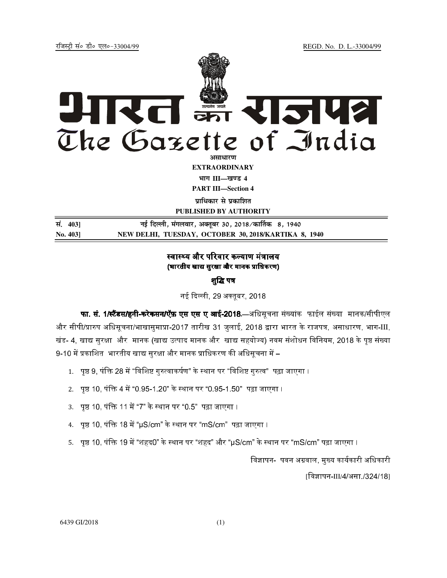jftLVªh laö Mhö ,yö&33004@99 REGD. No. D. L.-33004/99



**<u>uाधिकार से पकाशित</u>** 

**PUBLISHED BY AUTHORITY**

| सं. 4031 | नई दिल्ली, मंगलवार, अक्तूबर 30, 2018 ∕कार्तिक   8, 1940 |
|----------|---------------------------------------------------------|
| No. 4031 | NEW DELHI, TUESDAY, OCTOBER 30, 2018/KARTIKA 8, 1940    |

# <mark>स्वास्थ्य औ</mark>र परिवार कल्याण मंत्रालय</mark> (भारतीय खाद्य सरक्षा और मानक प्राधिकरण)

## शद्धि पत्र

## नई दिल्ली. 29 अक्तबर. 2018

**फा. सं. 1/स्टैंडस/हनी-करेकसन/ऍफ़ एस एस ए आई-2018.—अधिसूचना संख्यांक फाईल संख्या मानक/सीपीएल** और सीपी/प्रारुप अधिसूचना/भाखासुमाप्रा-2017 तारीख 31 जुलाई, 2018 द्वारा भारत के राजपत्र, असाधारण, भाग-III, खंड- 4, खाद्य सुरक्षा और मानक (खाद्य उत्पाद मानक और खाद्य सहयोज्य) नवम संशोधन विनियम, 2018 के पृष्ठ संख्या 9-10 में प्रकाशित भारतीय खाद्य सुरक्षा और मानक प्राधिकरण की अधिसूचना में –

- 1. पृष्ठ 9, पंक्ति 28 में "विशिष्ट गुरुत्वाकर्षण" के स्थान पर "विशिष्ट गुरुत्व" पढ़ा जाएगा ।
- 2. पृष्ठ 10, पंक्ति 4 में "0.95-1.20" के स्थान पर "0.95-1.50" पढ़ा जाएगा ।
- 3. पृष्ठ 10, पंक्ति 11 में "7" के स्थान पर "0.5" पढ़ा जाएगा ।
- 4. पृष्ठ 10, पंक्ति 18 में "µS/cm" के स्थान पर "mS/cm" पढ़ा जाएगा ।
- 5. पृष्ठ 10, पंक्ति 19 में "शहद0" के स्थान पर "शहद" और "µS/cm" के स्थान पर "mS/cm" पढ़ा जाएगा ।

विज्ञापन- पवन अग्रवाल, मुख्य कार्यकारी अधिकारी

[विज्ञापन-III/4/असा./324/18]